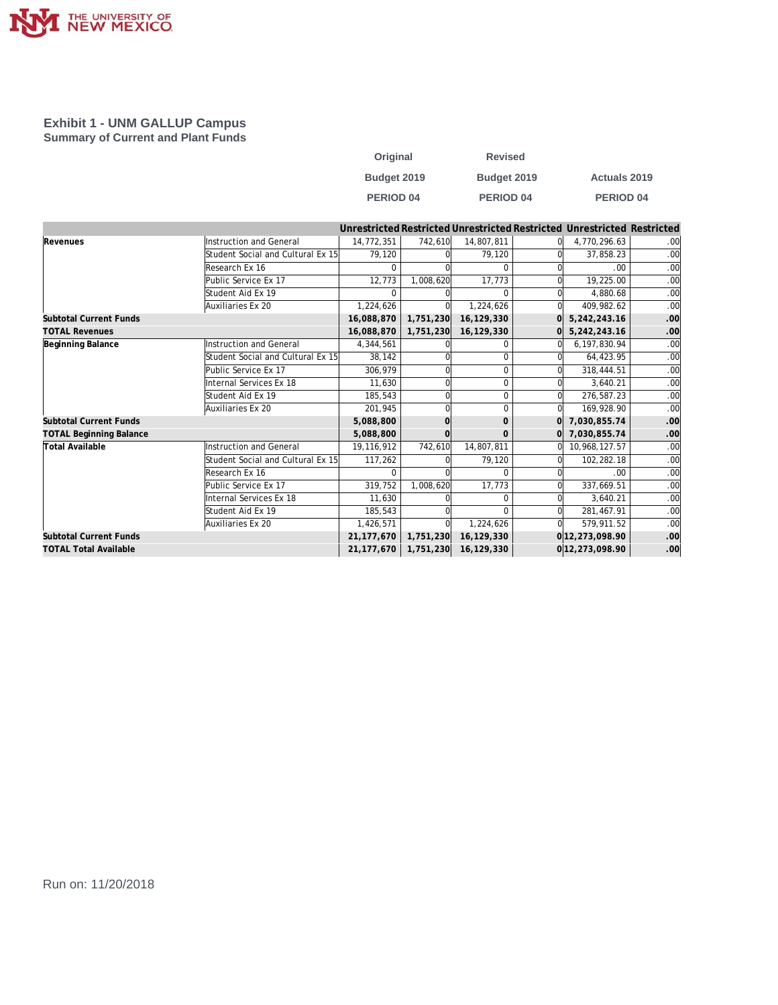

## **Exhibit 1 - UNM GALLUP Campus Summary of Current and Plant Funds**

| Original         | <b>Revised</b> |                     |
|------------------|----------------|---------------------|
| Budget 2019      | Budget 2019    | <b>Actuals 2019</b> |
| <b>PERIOD 04</b> | PERIOD 04      | <b>PERIOD 04</b>    |

|                                |                                   |              |           |              |          | Unrestricted Restricted Unrestricted Restricted Unrestricted Restricted |     |
|--------------------------------|-----------------------------------|--------------|-----------|--------------|----------|-------------------------------------------------------------------------|-----|
| Revenues                       | Instruction and General           | 14,772,351   | 742,610   | 14,807,811   |          | 4,770,296.63                                                            | .00 |
|                                | Student Social and Cultural Ex 15 | 79.120       |           | 79.120       |          | 37,858.23                                                               | .00 |
|                                | Research Ex 16                    |              |           | $\Omega$     |          | .00                                                                     | .00 |
|                                | Public Service Ex 17              | 12,773       | 1,008,620 | 17,773       |          | 19,225.00                                                               | .00 |
|                                | Student Aid Ex 19                 |              |           | <sup>0</sup> |          | 4.880.68                                                                | .00 |
|                                | Auxiliaries Ex 20                 | 1,224,626    |           | 1,224,626    | Ωl       | 409,982.62                                                              | .00 |
| <b>Subtotal Current Funds</b>  |                                   | 16,088,870   | 1,751,230 | 16,129,330   | ΩI       | 5,242,243.16                                                            | .00 |
| <b>TOTAL Revenues</b>          |                                   | 16,088,870   | 1,751,230 | 16,129,330   |          | 5,242,243.16                                                            | .00 |
| Beginning Balance              | Instruction and General           | 4,344,561    |           | 0            |          | 6,197,830.94                                                            | .00 |
|                                | Student Social and Cultural Ex 15 | 38,142       |           | $\Omega$     |          | 64,423.95                                                               | .00 |
|                                | Public Service Ex 17              | 306.979      |           | $\Omega$     |          | 318,444.51                                                              | .00 |
|                                | Internal Services Ex 18           | 11.630       |           | $\Omega$     |          | 3.640.21                                                                | .00 |
|                                | Student Aid Ex 19                 | 185,543      |           | $\mathbf 0$  | 0l       | 276,587.23                                                              | .00 |
|                                | Auxiliaries Ex 20                 | 201,945      |           | $\Omega$     | 0l       | 169,928.90                                                              | .00 |
| <b>Subtotal Current Funds</b>  |                                   | 5,088,800    |           | $\mathbf{O}$ | $\Omega$ | 7,030,855.74                                                            | .00 |
| <b>TOTAL Beginning Balance</b> |                                   | 5,088,800    |           | $\Omega$     |          | 0 7,030,855.74                                                          | .00 |
| Total Available                | Instruction and General           | 19,116,912   | 742,610   | 14,807,811   | ΩI       | 10,968,127.57                                                           | .00 |
|                                | Student Social and Cultural Ex 15 | 117,262      |           | 79,120       |          | 102,282.18                                                              | .00 |
|                                | Research Ex 16                    |              |           | $\Omega$     |          | .00                                                                     | .00 |
|                                | Public Service Ex 17              | 319,752      | 1,008,620 | 17,773       |          | 337,669.51                                                              | .00 |
|                                | Internal Services Ex 18           | 11,630       |           | $\Omega$     | $\Omega$ | 3,640.21                                                                | .00 |
|                                | Student Aid Ex 19                 | 185,543      |           | $\Omega$     |          | 281,467.91                                                              | .00 |
|                                | Auxiliaries Ex 20                 | 1,426,571    |           | 1,224,626    |          | 579,911.52                                                              | .00 |
| <b>Subtotal Current Funds</b>  |                                   | 21, 177, 670 | 1,751,230 | 16,129,330   |          | 0 12, 273, 098.90                                                       | .00 |
| <b>TOTAL Total Available</b>   |                                   | 21,177,670   | 1,751,230 | 16,129,330   |          | 0 12, 273, 098.90                                                       | .00 |